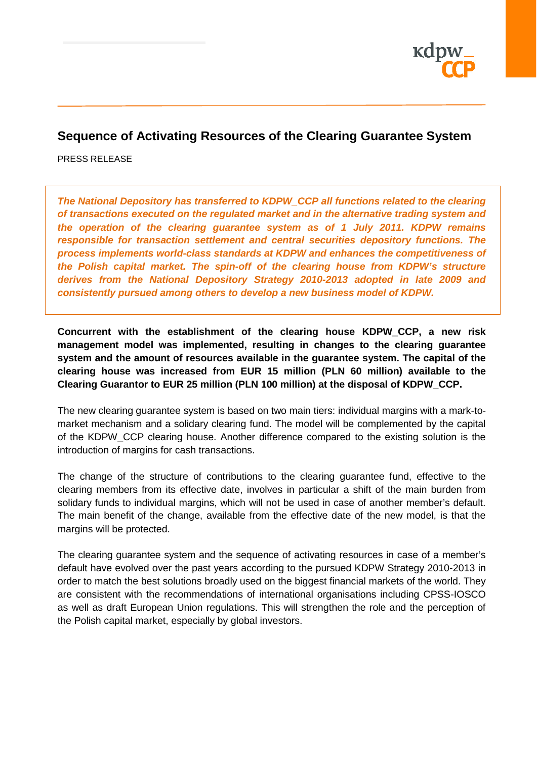

# **Sequence of Activating Resources of the Clearing Guarantee System**

PRESS RELEASE

*The National Depository has transferred to KDPW\_CCP all functions related to the clearing of transactions executed on the regulated market and in the alternative trading system and the operation of the clearing guarantee system as of 1 July 2011. KDPW remains responsible for transaction settlement and central securities depository functions. The process implements world-class standards at KDPW and enhances the competitiveness of the Polish capital market. The spin-off of the clearing house from KDPW's structure derives from the National Depository Strategy 2010-2013 adopted in late 2009 and consistently pursued among others to develop a new business model of KDPW.*

**Concurrent with the establishment of the clearing house KDPW\_CCP, a new risk management model was implemented, resulting in changes to the clearing guarantee system and the amount of resources available in the guarantee system. The capital of the clearing house was increased from EUR 15 million (PLN 60 million) available to the Clearing Guarantor to EUR 25 million (PLN 100 million) at the disposal of KDPW\_CCP.**

The new clearing guarantee system is based on two main tiers: individual margins with a mark-tomarket mechanism and a solidary clearing fund. The model will be complemented by the capital of the KDPW\_CCP clearing house. Another difference compared to the existing solution is the introduction of margins for cash transactions.

The change of the structure of contributions to the clearing guarantee fund, effective to the clearing members from its effective date, involves in particular a shift of the main burden from solidary funds to individual margins, which will not be used in case of another member's default. The main benefit of the change, available from the effective date of the new model, is that the margins will be protected.

The clearing guarantee system and the sequence of activating resources in case of a member's default have evolved over the past years according to the pursued KDPW Strategy 2010-2013 in order to match the best solutions broadly used on the biggest financial markets of the world. They are consistent with the recommendations of international organisations including CPSS-IOSCO as well as draft European Union regulations. This will strengthen the role and the perception of the Polish capital market, especially by global investors.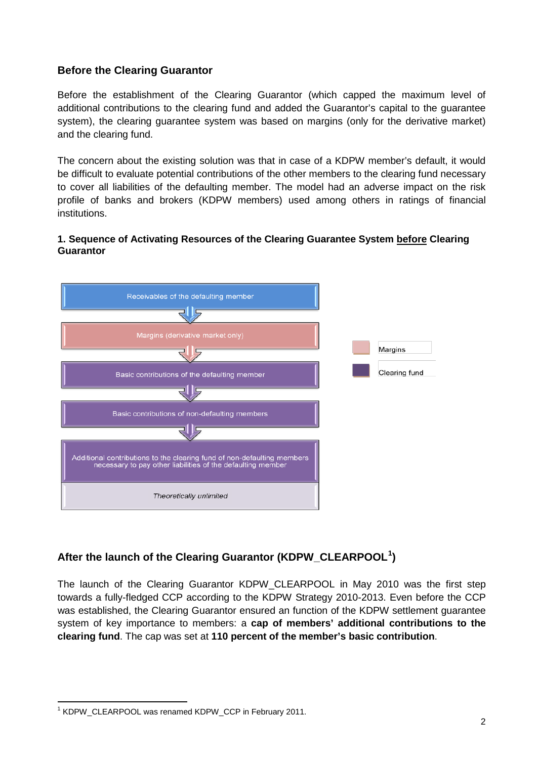### **Before the Clearing Guarantor**

Before the establishment of the Clearing Guarantor (which capped the maximum level of additional contributions to the clearing fund and added the Guarantor's capital to the guarantee system), the clearing guarantee system was based on margins (only for the derivative market) and the clearing fund.

The concern about the existing solution was that in case of a KDPW member's default, it would be difficult to evaluate potential contributions of the other members to the clearing fund necessary to cover all liabilities of the defaulting member. The model had an adverse impact on the risk profile of banks and brokers (KDPW members) used among others in ratings of financial institutions.

#### **1. Sequence of Activating Resources of the Clearing Guarantee System before Clearing Guarantor**



## **After the launch of the Clearing Guarantor (KDPW\_CLEARPOOL[1](#page-1-0) )**

The launch of the Clearing Guarantor KDPW\_CLEARPOOL in May 2010 was the first step towards a fully-fledged CCP according to the KDPW Strategy 2010-2013. Even before the CCP was established, the Clearing Guarantor ensured an function of the KDPW settlement guarantee system of key importance to members: a **cap of members' additional contributions to the clearing fund**. The cap was set at **110 percent of the member's basic contribution**.

<span id="page-1-0"></span><sup>1</sup> KDPW\_CLEARPOOL was renamed KDPW\_CCP in February 2011.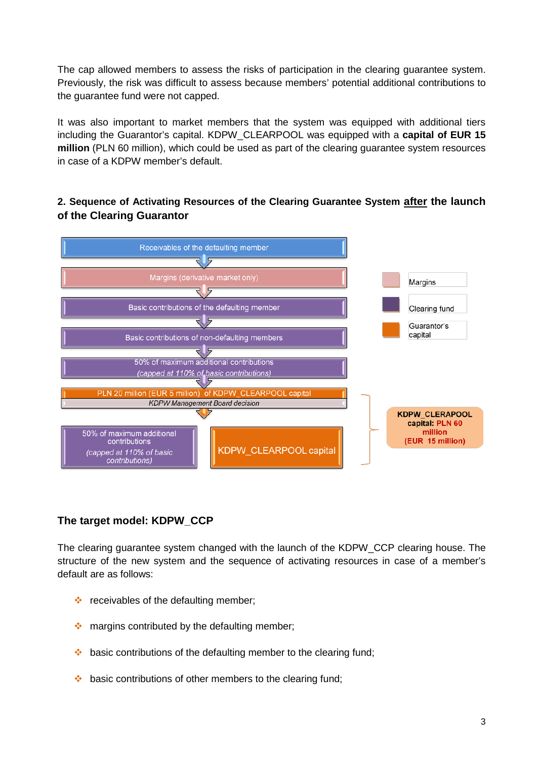The cap allowed members to assess the risks of participation in the clearing guarantee system. Previously, the risk was difficult to assess because members' potential additional contributions to the guarantee fund were not capped.

It was also important to market members that the system was equipped with additional tiers including the Guarantor's capital. KDPW\_CLEARPOOL was equipped with a **capital of EUR 15 million** (PLN 60 million), which could be used as part of the clearing guarantee system resources in case of a KDPW member's default.

## **2. Sequence of Activating Resources of the Clearing Guarantee System after the launch of the Clearing Guarantor**



## **The target model: KDPW\_CCP**

The clearing guarantee system changed with the launch of the KDPW\_CCP clearing house. The structure of the new system and the sequence of activating resources in case of a member's default are as follows:

- $\div$  receivables of the defaulting member:
- $\cdot$  margins contributed by the defaulting member;
- $\cdot$  basic contributions of the defaulting member to the clearing fund;
- $\cdot$  basic contributions of other members to the clearing fund;